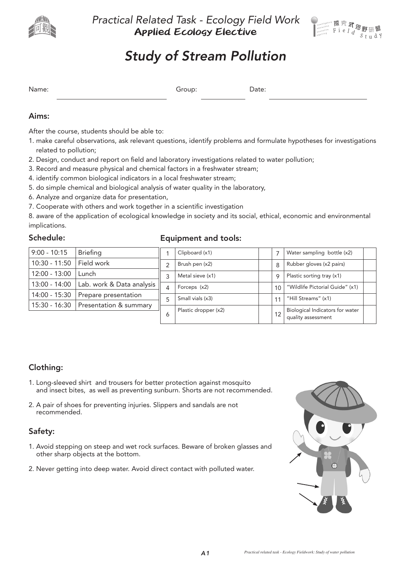

*Practical Related Task - Ecology Field Work* Applied Ecology Elective



# *Study of Stream Pollution*

|  | . |
|--|---|
|  |   |

## Aims:

After the course, students should be able to:

- 1. make careful observations, ask relevant questions, identify problems and formulate hypotheses for investigations related to pollution;
- 2. Design, conduct and report on field and laboratory investigations related to water pollution;
- 3. Record and measure physical and chemical factors in a freshwater stream;
- 4. identify common biological indicators in a local freshwater stream;
- 5. do simple chemical and biological analysis of water quality in the laboratory,
- 6. Analyze and organize data for presentation,
- 7. Cooperate with others and work together in a scientific investigation

8. aware of the application of ecological knowledge in society and its social, ethical, economic and environmental implications.

## Schedule:

### Equipment and tools:

| $9:00 - 10:15$  | <b>Briefing</b>                        |   | Clipboard (x1)       |                 | Water sampling bottle (x2)      |  |
|-----------------|----------------------------------------|---|----------------------|-----------------|---------------------------------|--|
| $10:30 - 11:50$ | Field work                             | 2 | Brush pen (x2)       | 8               | Rubber gloves (x2 pairs)        |  |
| $12:00 - 13:00$ | Lunch                                  | 3 | Metal sieve (x1)     | Q               | Plastic sorting tray (x1)       |  |
| 13:00 - 14:00   | Lab. work & Data analysis              | 4 | Forceps (x2)         | 10 <sup>1</sup> | "Wildlife Pictorial Guide" (x1) |  |
| 14:00 - 15:30   | Prepare presentation                   | 5 | Small vials (x3)     | 11              | "Hill Streams" (x1)             |  |
|                 | 15:30 - 16:30   Presentation & summary |   | Plastic dropper (x2) |                 | Biological Indicators for water |  |
|                 |                                        | Ô |                      |                 | quality assessment              |  |

## Clothing:

- 1. Long-sleeved shirt and trousers for better protection against mosquito and insect bites, as well as preventing sunburn. Shorts are not recommended.
- 2. A pair of shoes for preventing injuries. Slippers and sandals are not recommended.

## Safety:

- 1. Avoid stepping on steep and wet rock surfaces. Beware of broken glasses and other sharp objects at the bottom.
- 2. Never getting into deep water. Avoid direct contact with polluted water.

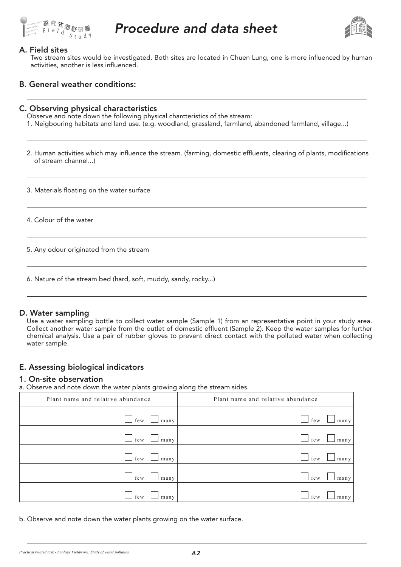

## *Procedure and data sheet*



#### A. Field sites

Two stream sites would be investigated. Both sites are located in Chuen Lung, one is more influenced by human activities, another is less influenced.

#### B. General weather conditions:

#### C. Observing physical characteristics

Observe and note down the following physical charcteristics of the stream:

1. Neigbouring habitats and land use. (e.g. woodland, grassland, farmland, abandoned farmland, village...)

2. Human activities which may influence the stream. (farming, domestic effluents, clearing of plants, modifications of stream channel...)

3. Materials floating on the water surface

4. Colour of the water

5. Any odour originated from the stream

6. Nature of the stream bed (hard, soft, muddy, sandy, rocky...)

#### D. Water sampling

Use a water sampling bottle to collect water sample (Sample 1) from an representative point in your study area. Collect another water sample from the outlet of domestic effluent (Sample 2). Keep the water samples for further chemical analysis. Use a pair of rubber gloves to prevent direct contact with the polluted water when collecting water sample.

## E. Assessing biological indicators

#### 1. On-site observation

a. Observe and note down the water plants growing along the stream sides.

| Plant name and relative abundance | Plant name and relative abundance |
|-----------------------------------|-----------------------------------|
| $\Box$ few<br>many                | few<br>many                       |
| $\Box$ few<br>many                | few<br>many                       |
| $\Box$ few<br>many                | few<br>many                       |
| $\Box$ few<br>many                | few<br>many                       |
| few<br>many                       | few<br>many                       |

b. Observe and note down the water plants growing on the water surface.

*Practical related task - Ecology Fieldwork: Study of water pollution*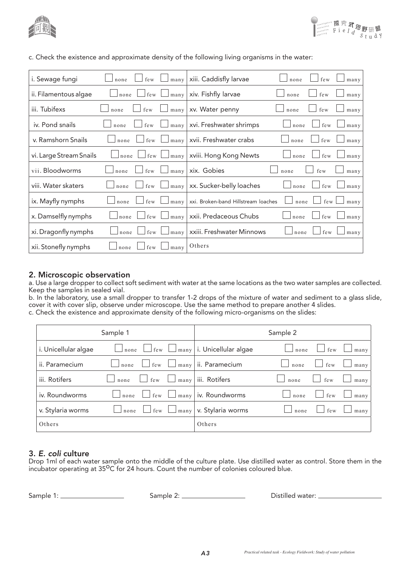



| i. Sewage fungi         | few<br>many<br>none | xiii. Caddisfly larvae              | none | few              | many |
|-------------------------|---------------------|-------------------------------------|------|------------------|------|
| ii. Filamentous algae   | few<br>none<br>many | xiv. Fishfly larvae                 | none | few              | many |
| iii. Tubifexs           | few<br>many<br>none | xv. Water penny                     | none | few              | many |
| iv. Pond snails         | few<br>none<br>many | xvi. Freshwater shrimps             | none | few              | many |
| v. Ramshorn Snails      | few<br>none<br>many | xvii. Freshwater crabs              | none | few              | many |
| vi. Large Stream Snails | few<br>many<br>none | xviii. Hong Kong Newts              | none | few              | many |
| vii. Bloodworms         | few<br>many<br>none | xix. Gobies                         | none | $\,\mathrm{few}$ | many |
| viii. Water skaters     | few<br>many<br>none | xx. Sucker-belly loaches            | none | few              | many |
| ix. Mayfly nymphs       | few<br>many<br>none | xxi. Broken-band Hillstream loaches | none | few              | many |
| x. Damselfly nymphs     | few<br>none<br>many | xxii. Predaceous Chubs              | none | few              | many |
| xi. Dragonfly nymphs    | few<br>none<br>many | xxiii. Freshwater Minnows           | none | few              | many |
| xii. Stonefly nymphs    | few<br>many<br>none | Others                              |      |                  |      |

c. Check the existence and approximate density of the following living organisms in the water:

#### 2. Microscopic observation

a. Use a large dropper to collect soft sediment with water at the same locations as the two water samples are collected. Keep the samples in sealed vial.

b. In the laboratory, use a small dropper to transfer 1-2 drops of the mixture of water and sediment to a glass slide, cover it with cover slip, observe under microscope. Use the same method to prepare another 4 slides.

| c. Check the existence and approximate density of the following micro-organisms on the slides: |  |  |
|------------------------------------------------------------------------------------------------|--|--|
|------------------------------------------------------------------------------------------------|--|--|

|                      | Sample 1                          |                                               | Sample 2                               |
|----------------------|-----------------------------------|-----------------------------------------------|----------------------------------------|
| i. Unicellular algae | $\Box$ none                       | $\Box$ few $\Box$ many   i. Unicellular algae | few<br>none<br>many                    |
| ii. Paramecium       | $\perp$ few<br>many<br>none       | ii. Paramecium                                | few<br>none<br>many                    |
| iii. Rotifers        | many<br>few<br>none               | iii. Rotifers                                 | <b>Contract</b><br>few<br>none<br>many |
| iv. Roundworms       | few  <br>none<br>$\mathbf{1}$     | $\left  \text{many} \right $ iv. Roundworms   | few<br>many<br>none                    |
| v. Stylaria worms    | few $\Box$ many<br>none<br>$\sim$ | v. Stylaria worms                             | few<br>none<br>many                    |
| Others               |                                   | Others                                        |                                        |

#### 3. *E. coli* culture

Drop 1ml of each water sample onto the middle of the culture plate. Use distilled water as control. Store them in the incubator operating at  $35^{\circ}$ C for 24 hours. Count the number of colonies coloured blue.

Sample 1: Sample 2: Sample 2: Sample 2: Distilled water: